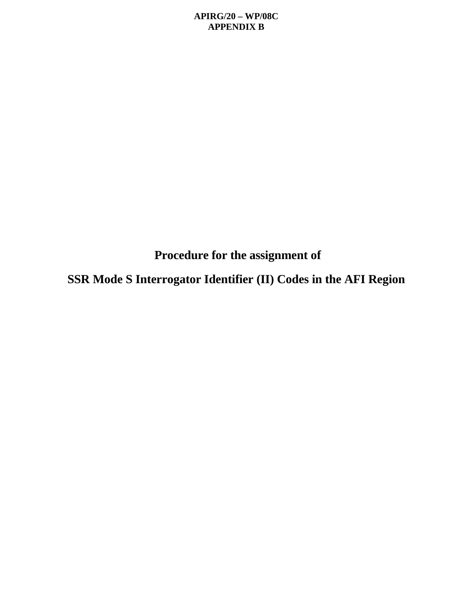**Procedure for the assignment of**

**SSR Mode S Interrogator Identifier (II) Codes in the AFI Region**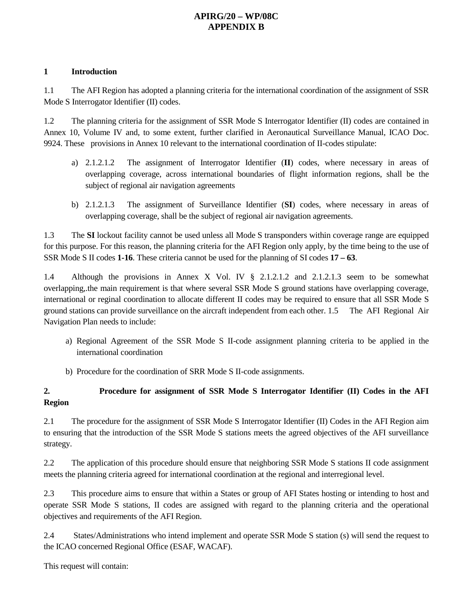#### **1 Introduction**

1.1 The AFI Region has adopted a planning criteria for the international coordination of the assignment of SSR Mode S Interrogator Identifier (II) codes.

1.2 The planning criteria for the assignment of SSR Mode S Interrogator Identifier (II) codes are contained in Annex 10, Volume IV and, to some extent, further clarified in Aeronautical Surveillance Manual, ICAO Doc. 9924. These provisions in Annex 10 relevant to the international coordination of II-codes stipulate:

- a) 2.1.2.1.2 The assignment of Interrogator Identifier (**II**) codes, where necessary in areas of overlapping coverage, across international boundaries of flight information regions, shall be the subject of regional air navigation agreements
- b) 2.1.2.1.3 The assignment of Surveillance Identifier (**SI**) codes, where necessary in areas of overlapping coverage, shall be the subject of regional air navigation agreements.

1.3 The **SI** lockout facility cannot be used unless all Mode S transponders within coverage range are equipped for this purpose. For this reason, the planning criteria for the AFI Region only apply, by the time being to the use of SSR Mode S II codes **1-16**. These criteria cannot be used for the planning of SI codes **17 – 63**.

1.4 Although the provisions in Annex X Vol. IV § 2.1.2.1.2 and 2.1.2.1.3 seem to be somewhat overlapping,.the main requirement is that where several SSR Mode S ground stations have overlapping coverage, international or reginal coordination to allocate different II codes may be required to ensure that all SSR Mode S ground stations can provide surveillance on the aircraft independent from each other. 1.5 The AFI Regional Air Navigation Plan needs to include:

- a) Regional Agreement of the SSR Mode S II-code assignment planning criteria to be applied in the international coordination
- b) Procedure for the coordination of SRR Mode S II-code assignments.

#### **2. Procedure for assignment of SSR Mode S Interrogator Identifier (II) Codes in the AFI Region**

2.1 The procedure for the assignment of SSR Mode S Interrogator Identifier (II) Codes in the AFI Region aim to ensuring that the introduction of the SSR Mode S stations meets the agreed objectives of the AFI surveillance strategy.

2.2 The application of this procedure should ensure that neighboring SSR Mode S stations II code assignment meets the planning criteria agreed for international coordination at the regional and interregional level.

2.3 This procedure aims to ensure that within a States or group of AFI States hosting or intending to host and operate SSR Mode S stations, II codes are assigned with regard to the planning criteria and the operational objectives and requirements of the AFI Region.

2.4 States/Administrations who intend implement and operate SSR Mode S station (s) will send the request to the ICAO concerned Regional Office (ESAF, WACAF).

This request will contain: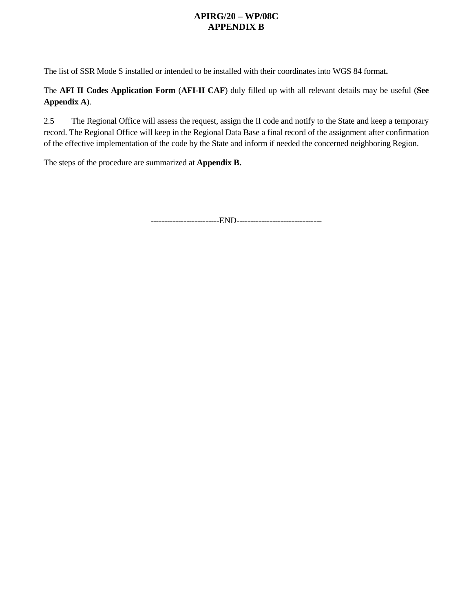The list of SSR Mode S installed or intended to be installed with their coordinates into WGS 84 format**.**

The **AFI II Codes Application Form** (**AFI-II CAF**) duly filled up with all relevant details may be useful (**See Appendix A**).

2.5 The Regional Office will assess the request, assign the II code and notify to the State and keep a temporary record. The Regional Office will keep in the Regional Data Base a final record of the assignment after confirmation of the effective implementation of the code by the State and inform if needed the concerned neighboring Region.

The steps of the procedure are summarized at **Appendix B.**

-------------------------END-------------------------------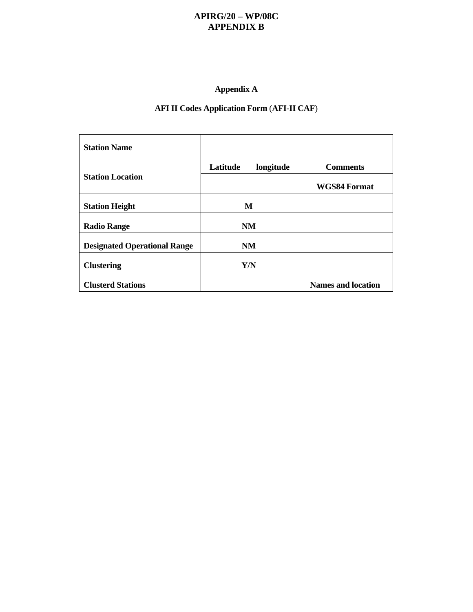### **Appendix A**

### **AFI II Codes Application Form** (**AFI-II CAF**)

| <b>Station Name</b>                 |           |           |                           |
|-------------------------------------|-----------|-----------|---------------------------|
|                                     | Latitude  | longitude | <b>Comments</b>           |
| <b>Station Location</b>             |           |           | <b>WGS84 Format</b>       |
| <b>Station Height</b>               | M         |           |                           |
| <b>Radio Range</b>                  | NM        |           |                           |
| <b>Designated Operational Range</b> | <b>NM</b> |           |                           |
| <b>Clustering</b>                   | Y/N       |           |                           |
| <b>Clusterd Stations</b>            |           |           | <b>Names and location</b> |